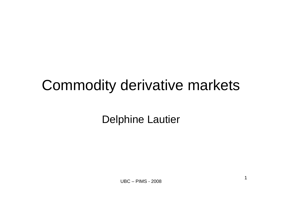# **Commodity derivative markets**

**Delphine Lautier**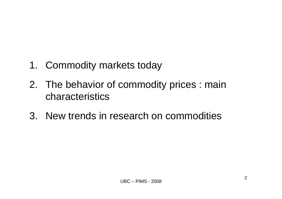- 1. Commodity markets today
- 2. The behavior of commodity prices : main characteristics
- 3. New trends in research on commodities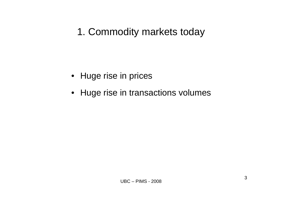## 1. Commodity markets today

- Huge rise in prices
- Huge rise in transactions volumes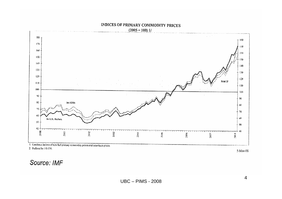

27 Deflated by US CPI.

5 Mar-08

#### Source: IMF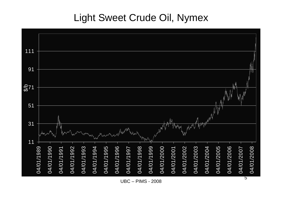## Light Sweet Crude Oil, Nymex



**UBC - PIMS - 2008**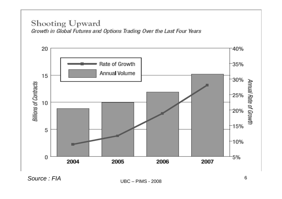#### Shooting Upward Growth in Global Futures and Options Trading Over the Last Four Years



**UBC - PIMS - 2008**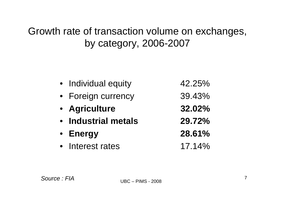## Growth rate of transaction volume on exchanges, by category, 2006-2007

| • Individual equity | 42.25% |
|---------------------|--------|
| • Foreign currency  | 39.43% |
| • Agriculture       | 32.02% |
| • Industrial metals | 29.72% |
|                     |        |
| • Energy            | 28.61% |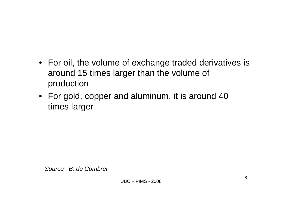- For oil, the volume of exchange traded derivatives is around 15 times larger than the volume of production
- For gold, copper and aluminum, it is around 40 times larger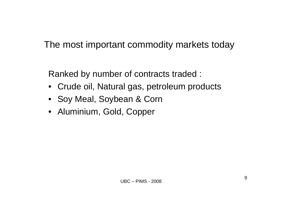The most important commodity markets today

Ranked by number of contracts traded :

- Crude oil, Natural gas, petroleum products
- Soy Meal, Soybean & Corn
- Aluminium, Gold, Copper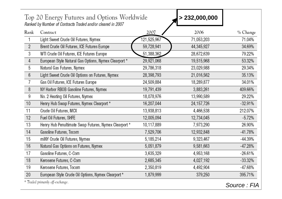| Rank            | Contract                                              | 2007        | 2006         | % Change  |
|-----------------|-------------------------------------------------------|-------------|--------------|-----------|
|                 | Light Sweet Crude Oil Futures, Nymex                  | 121,525,967 | 71,053,203   | 71.04%    |
| $\overline{2}$  | Brent Crude Oil Futures, ICE Futures Europe           | 59,728,941  | 44,345,927   | 34.69%    |
| 3               | WTI Crude Oil Futures, ICE Futures Europe             | 51,388,362  | 28,672,639   | 79.22%    |
| 4               | European Style Natural Gas Options, Nymex Clearport * | 29,921,068  | 19,515,968   | 53.32%    |
| 5               | Natural Gas Futures, Nymex                            | 29,786,318  | 23,029,988   | 29.34%    |
| $6\phantom{.0}$ | Light Sweet Crude Oil Options on Futures, Nymex       | 28,398,793  | 21,016,562   | 35.13%    |
| 7               | Gas Oil Futures, ICE Futures Europe                   | 24,509,884  | 18,289,877   | 34.01%    |
| 8               | NY Harbor RBOB Gasoline Futures, Nymex                | 19,791,439  | 3,883,261    | 409.66%   |
| 9               | No. 2 Heating Oil Futures, Nymex                      | 18,078,976  | 13,990,589   | 29.22%    |
| 10              | Henry Hub Swap Futures, Nymex Clearport *             | 16,207,044  | 24, 157, 726 | $-32.91%$ |
| 11              | Crude Oil Futures, MCX                                | 13,938,813  | 4,466,538    | 212.07%   |
| 12              | Fuel Oil Futures, SHFE                                | 12,005,094  | 12,734,045   | $-5.72%$  |
| 13              | Henry Hub Penultimate Swap Futures, Nymex Clearport * | 10,117,889  | 7,973,290    | 26.90%    |
| 14              | Gasoline Futures, Tocom                               | 7,529,706   | 12,932,848   | $-41.78%$ |
| 15              | miNY Crude Oil Futures, Nymex                         | 5,185,214   | 9,323,467    | $-44.39%$ |
| 16              | Natural Gas Options on Futures, Nymex                 | 5,051,879   | 9,581,663    | $-47.28%$ |
| 17              | Gasoline Futures, C-Com                               | 3,635,329   | 4,953,168    | $-26.61%$ |
| 18              | Kerosene Futures, C-Com                               | 2,685,345   | 4,027,192    | $-33.32%$ |
| 19              | Kerosene Futures, Tocom                               | 2,350,819   | 4,492,904    | $-47.68%$ |
| 20              | European Style Crude Oil Options, Nymex Clearport *   | 1,879,999   | 379,250      | 395.71%   |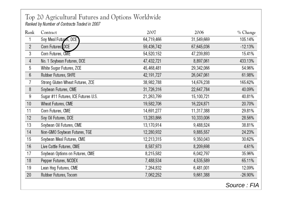#### Top 20 Agricultural Futures and Options Worldwide Ranked by Number of Contracts Traded in 2007

Contract Rank 2007 2006 % Change Soy Meal Futures, DCE 64.719.466 105.14%  $\mathbf{1}$ 31.549.669 Corn Futures, DCE  $-12.13%$  $\overline{2}$ 59.436.742 67.645.036 Corn Futures, CME 3 54,520,152 15.41% 47,239,893 No. 1 Soybean Futures, DCE 47.432.721 8,897,061 433.13%  $\overline{4}$ White Sugar Futures, ZCE 29,342,066 54.96% 5 45,468,481 Rubber Futures, SHFE  $6\phantom{a}$ 42.191.727 26.047.061 61.98%  $\overline{7}$ Strong Gluten Wheat Futures, ZCE 38,982,788 14,676,238 165.62% Soybean Futures, CME 8 31.726.316 22,647.784 40.09% 9 Sugar #11 Futures, ICE Futures U.S. 21,263,799 15,100,721 40.81%  $10$ Wheat Futures, CME 19,582,706 20.70% 16,224,871  $11$ Corn Futures, CME 14.691.277 11.317.388 29.81%  $12$ Soy Oil Futures, DCE 13,283,866 10,333,006 28.56% 13 Soybean Oil Futures, CME 13,170,914 9,488,524 38.81% 14 Non-GMO Soybean Futures, TGE 12,280,932 9,885,557 24.23% 15 Soybean Meal Futures, CME 12,213,315 9,350,043 30.62% 16 Live Cattle Futures, CME 8,587,973 8,209,698 4.61%  $17$ Soybean Options on Futures, CME 8,215,582 6,042,797 35.96% 18 Pepper Futures, NCDEX 65.11% 7,488,534 4,535,589 19 Lean Hog Futures, CME 7,264,832 6,481,001 12.09% 20 Rubber Futures, Tocom 7,062,252 9,661,388  $-26.90%$ 

Source: FIA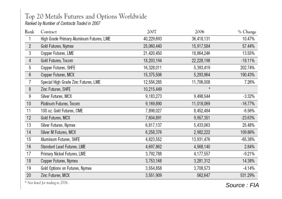### Top 20 Metals Futures and Options Worldwide

Ranked by Number of Contracts Traded in 2007

| Rank            | Contract                                 | 2007       | 2006       | % Change   |
|-----------------|------------------------------------------|------------|------------|------------|
|                 | High Grade Primary Aluminum Futures, LME | 40,229,693 | 36,418,131 | 10.47%     |
| $\overline{2}$  | Gold Futures, Nymex                      | 25,060,440 | 15,917,584 | 57.44%     |
| 3               | Copper Futures, LME                      | 21,420,450 | 18,864,246 | 13.55%     |
| $\overline{4}$  | Gold Futures, Tocom                      | 18,203,194 | 22,228,198 | $-18.11%$  |
| 5               | Copper Futures, SHFE                     | 16,328,011 | 5,393,419  | 202.74%    |
| $6\phantom{.0}$ | Copper Futures, MCX                      | 15,375,506 | 5,293,964  | 190.43%    |
| 7               | Special High Grade Zinc Futures, LME     | 12,556,285 | 11,706,008 | 7.26%      |
| 8               | Zinc Futures, SHFE                       | 10,215,449 | $\star$    |            |
| 9               | Silver Futures, MCX                      | 9,183,273  | 9,498,544  | $-3.32%$   |
| 10              | Platinum Futures, Tocom                  | 9,169,890  | 11,018,069 | $-16.77%$  |
| 11              | 100 oz. Gold Futures, CME                | 7,898,027  | 8,452,484  | -6.56%     |
| 12              | Gold Futures, MCX                        | 7,604,891  | 9,957,351  | $-23.63%$  |
| 13              | Silver Futures, Nymex                    | 6,817,137  | 5,433,063  | 25.48%     |
| 14              | Silver M Futures, MCX                    | 6,258,376  | 2,982,222  | 109.86%    |
| 15              | Aluminum Futures, SHFE                   | 4,823,552  | 13,931,476 | $-65.38\%$ |
| 16              | Standard Lead Futures, LME               | 4,697,862  | 4,568,140  | 2.84%      |
| 17              | Primary Nickel Futures, LME              | 3,792,788  | 4,177,557  | $-9.21%$   |
| 18              | Copper Futures, Nymex                    | 3,753,168  | 3,281,312  | 14.38%     |
| 19              | Gold Options on Futures, Nymex           | 3,554,858  | 3,708,573  | $-4.14%$   |
| 20              | Zinc Futures, MCX                        | 3,551,909  | 562,647    | 531.29%    |
|                 |                                          |            |            |            |

\* Not listed for trading in 2006.

Source: FIA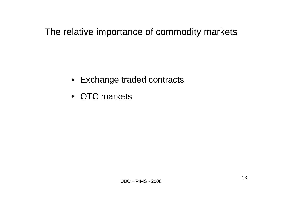The relative importance of commodity markets

- Exchange traded contracts
- OTC markets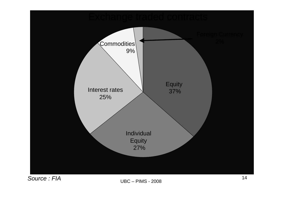

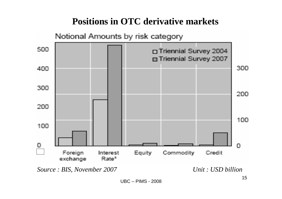## **Positions in OTC derivative markets**

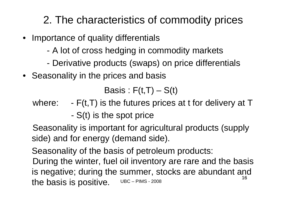## 2. The characteristics of commodity prices

- Importance of quality differentials
	- A lot of cross hedging in commodity markets
	- Derivative products (swaps) on price differentials
- Seasonality in the prices and basis

Basis :  $F(t,T) - S(t)$ 

- where:  $-F(t,T)$  is the futures prices at t for delivery at T
	- S(t) is the spot price

Seasonality is important for agricultural products (supply side) and for energy (demand side).

Seasonality of the basis of petroleum products:

UBC – PIMS - 200816During the winter, fuel oil inventory are rare and the basis is negative; during the summer, stocks are abundant and the basis is positive.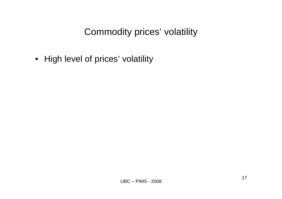## Commodity prices' volatility

• High level of prices' volatility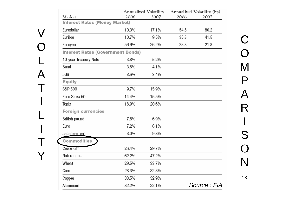| Market                                   | 2006  | Annualized Volatility<br>2007 | 2006 | Annualized Volatility (bp)<br>2007 |
|------------------------------------------|-------|-------------------------------|------|------------------------------------|
| <b>Interest Rates (Money Market)</b>     |       |                               |      |                                    |
| Eurodollar                               | 10.3% | 17.1%                         | 54.5 | 80.2                               |
| Euribor                                  | 10.7% | 9.5%                          | 35.8 | 41.5                               |
| Euroyen                                  | 56.6% | 26.2%                         | 28.8 | 21.8                               |
| <b>Interest Rates (Government Bonds)</b> |       |                               |      |                                    |
| 10-year Treasury Note                    | 3.8%  | 5.2%                          |      |                                    |
| Bund                                     | 3.8%  | 4.1%                          |      |                                    |
| <b>JGB</b>                               | 3.6%  | 3.4%                          |      |                                    |
| Equity                                   |       |                               |      |                                    |
| S&P 500                                  | 9.7%  | 15.9%                         |      |                                    |
| Euro Stoxx 50                            | 14.4% | 15.5%                         |      |                                    |
| Topix                                    | 18.9% | 20.6%                         |      |                                    |
| Foreign currencies                       |       |                               |      |                                    |
| British pound                            | 7.6%  | 6.9%                          |      |                                    |
| Euro                                     | 7.2%  | 6.1%                          |      |                                    |
| Japanese ven                             | 8.0%  | 9.3%                          |      |                                    |
| Commodities                              |       |                               |      |                                    |
| Crude oil                                | 26.4% | 29.7%                         |      |                                    |
| Natural gas                              | 62.2% | 47.2%                         |      |                                    |
| Wheat                                    | 29.5% | 33.7%                         |      |                                    |
| Corn                                     | 28.3% | 32.3%                         |      |                                    |
| Copper                                   | 38.5% | 32.9%                         |      |                                    |
| Aluminum                                 | 32.2% | 22.1%                         |      | Source: FIA                        |

 $\overline{V}$ 

 $\bigcap$ 

L

A

T

**International Contract Contract Contract Contract Contract Contract Contract Contract Contract Contract Contra** 

L

**International Contract Contract Contract Contract Contract Contract Contract Contract Contract Contract Contra** 

T

Y

18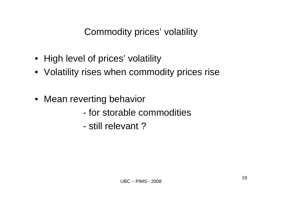Commodity prices' volatility

- High level of prices' volatility
- Volatility rises when commodity prices rise
- Mean reverting behavior
	- for storable commodities
	- still relevant ?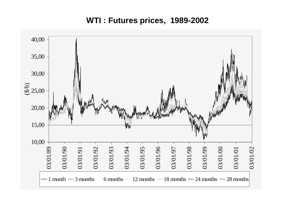**WTI : Futures prices, 1989-2002**

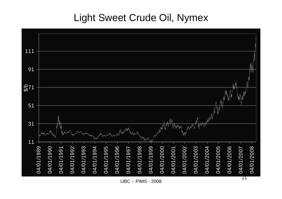## Light Sweet Crude Oil, Nymex



**UBC - PIMS - 2008**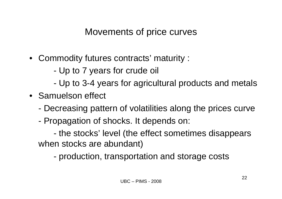### Movements of price curves

- Commodity futures contracts' maturity :
	- -Up to 7 years for crude oil
	- -Up to 3-4 years for agricultural products and metals
- Samuelson effect
	- -Decreasing pattern of volatilities along the prices curve
	- Propagation of shocks. It depends on:

 the stocks' level (the effect sometimes disappears when stocks are abundant)

production, transportation and storage costs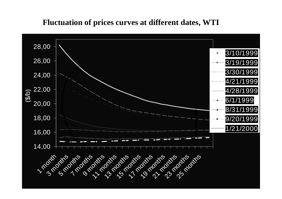### **Fluctuation of prices curves at different dates, WTI**

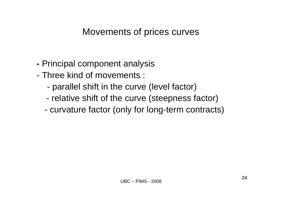### Movements of prices curves

- Principal component analysis
- Three kind of movements :
	- parallel shift in the curve (level factor)
	- relative shift of the curve (steepness factor)
	- curvature factor (only for long-term contracts)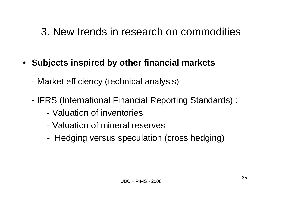## 3. New trends in research on commodities

- **Subjects inspired by other financial markets**
	- Market efficiency (technical analysis)
	- IFRS (International Financial Reporting Standards) :
		- Valuation of inventories
		- Valuation of mineral reserves
		- -Hedging versus speculation (cross hedging)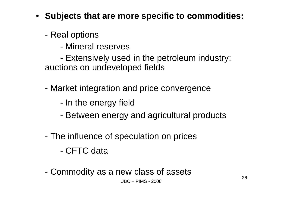- **Subjects that are more specific to commodities:**
	- - Real options
		- Mineral reserves
	- - Extensively used in the petroleum industry: auctions on undeveloped fields
	- - Market integration and price convergence
		- -In the energy field
		- -Between energy and agricultural products
	- - The influence of speculation on prices
		- CFTC data
	- -Commodity as a new class of assets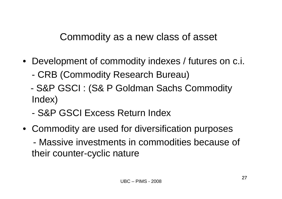Commodity as a new class of asset

- Development of commodity indexes / futures on c.i.
	- -CRB (Commodity Research Bureau)
	- - S&P GSCI : (S& P Goldman Sachs Commodity Index)
	- S&P GSCI Excess Return Index
- Commodity are used for diversification purposes - Massive investments in commodities because of their counter-cyclic nature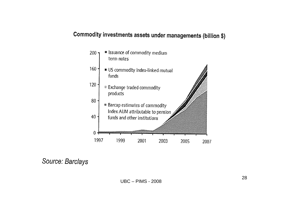### Commodity investments assets under managements (billion \$)



Source: Barclays